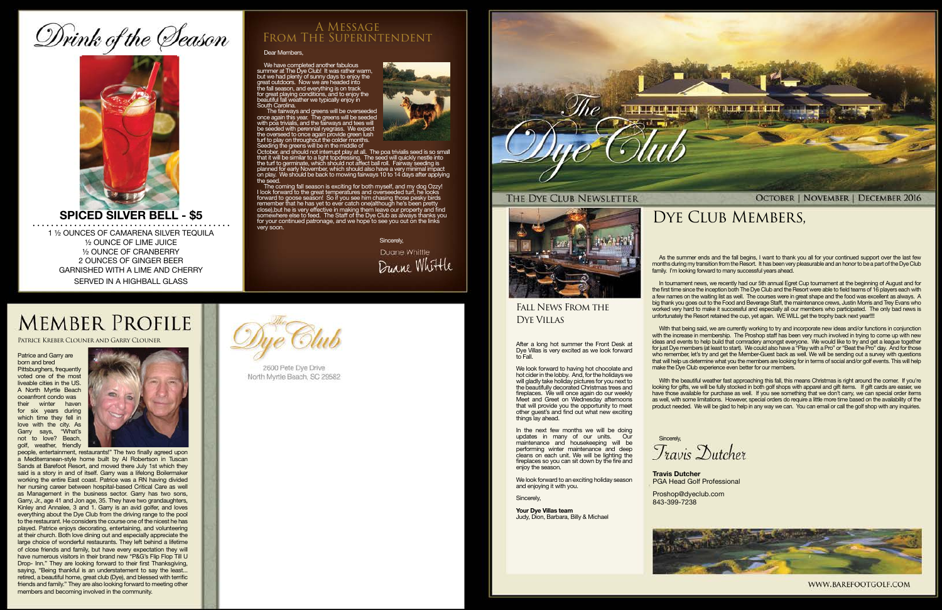# Drink of the Season



### **SPICED SILVER BELL - \$5**

1 ½ OUNCES OF CAMARENA SILVER TEQUILA ½ OUNCE OF LIME JUICE ½ OUNCE OF CRANBERRY 2 OUNCES OF GINGER BEER GARNISHED WITH A LIME AND CHERRY

SERVED IN A HIGHBALL GLASS

### Dear Members,

We have completed another fabulous<br>summer at The Dye Club! It was rather warm,<br>but we had plenty of sumy days to enjoy the<br>great outdoors. Now we are headed into<br>the fall season, and everything is on track<br>for great playin South Carolina.

The fairways and greens will be overseeded once again this year. The greens will be seeded with poa trivialis, and the fairways and tees will

be seeded with perennial ryegrass. We expect<br>the overseed to once again provide green lush<br>turf to play on throughout the colder months.<br>Seeding the greens will be in the middle of<br>October, and should not interrupt play at

The coming fall season is exciting for both myself, and my dog Ozzy!<br>I look forward to the great temperatures and overseeded turf, he looks<br>forward to goose season! So if you see him chasing those pesky brids<br>remember that for your continued patronage, and we hope to see you out on the links very soon.

> In tournament news, we recently had our 5th annual Egret Cup tournament at the beginning of August and for the first time since the inception both The Dye Club and the Resort were able to field teams of 16 players each with a few names on the waiting list as well. The courses were in great shape and the food was excellent as always. A big thank you goes out to the Food and Beverage Staff, the maintenance crews, Justin Morris and Trey Evans who worked very hard to make it successful and especially all our members who participated. The only bad news is unfortunately the Resort retained the cup, yet again. WE WILL get the trophy back next year!!!!

Sincerely,

Duane Whittle Duane Whittle

## **MEMBER PROFILE**

### A Message From The Superintendent

As the summer ends and the fall begins, I want to thank you all for your continued support over the last few months during my transition from the Resort. It has been very pleasurable and an honor to be a part of the Dye Club family. I'm looking forward to many successful years ahead.

In the next few months we will be doing updates in many of our units. Our maintenance and housekeeping will be performing winter maintenance and deep cleans on each unit. We will be lighting the fireplaces so you can sit down by the fire and enjoy the season.

With that being said, we are currently working to try and incorporate new ideas and/or functions in conjunction with the increase in membership. The Proshop staff has been very much involved in trying to come up with new ideas and events to help build that comradery amongst everyone. We would like to try and get a league together for just Dye members (at least to start). We could also have a "Play with a Pro" or "Beat the Pro" day. And for those who remember, let's try and get the Member-Guest back as well. We will be sending out a survey with questions that will help us determine what you the members are looking for in terms of social and/or golf events. This will help make the Dye Club experience even better for our members.

With the beautiful weather fast approaching this fall, this means Christmas is right around the corner. If you're looking for gifts, we will be fully stocked in both golf shops with apparel and gift items. If gift cards are easier, we have those available for purchase as well. If you see something that we don't carry, we can special order items as well, with some limitations. However, special orders do require a little more time based on the availability of the product needed. We will be glad to help in any way we can. You can email or call the golf shop with any inquiries.



PGA Head Golf Professional



WWW.BAREFOOTGOLF.COM

### Fall News From the Dye Villas

After a long hot summer the Front Desk at Dye Villas is very excited as we look forward to Fall.

We look forward to having hot chocolate and hot cider in the lobby. And, for the holidays we will gladly take holiday pictures for you next to the beautifully decorated Christmas trees and fireplaces. We will once again do our weekly Meet and Greet on Wednesday afternoons that will provide you the opportunity to meet other guest's and find out what new exciting things lay ahead.

We look forward to an exciting holiday season and enjoying it with you.

**Sincerely** 

**Your Dye Villas team** Judy, Dion, Barbara, Billy & Michael

Patrice Kreber Clouner and Garry Clouner

Patrice and Garry are born and bred

Pittsburghers, frequently voted one of the most liveable cities in the US. A North Myrtle Beach oceanfront condo was their winter haven for six years during which time they fell in love with the city. As Garry says, "What's not to love? Beach, golf, weather, friendly



**Travis Dutcher** Proshop@dyeclub.com

people, entertainment, restaurants!" The two finally agreed upon a Mediterranean-style home built by Al Robertson in Tuscan Sands at Barefoot Resort, and moved there July 1st which they said is a story in and of itself. Garry was a lifelong Boilermaker working the entire East coast. Patrice was a RN having divided her nursing career between hospital-based Critical Care as well as Management in the business sector. Garry has two sons, Garry, Jr., age 41 and Jon age, 35. They have two grandaughters, Kinley and Annalee, 3 and 1. Garry is an avid golfer, and loves everything about the Dye Club from the driving range to the pool to the restaurant. He considers the course one of the nicest he has played. Patrice enjoys decorating, entertaining, and volunteering at their church. Both love dining out and especially appreciate the large choice of wonderful restaurants. They left behind a lifetime of close friends and family, but have every expectation they will have numerous visitors in their brand new "P&G's Flip Flop Till U Drop- Inn." They are looking forward to their first Thanksgiving, saying, "Being thankful is an understatement to say the least... retired, a beautiful home, great club (Dye), and blessed with terrific friends and family." They are also looking forward to meeting other members and becoming involved in the community.



2600 Pete Dye Drive North Myrtle Beach, SC 29582





### THE DYE CLUB NEWSLETTER



843-399-7238



**OCTOBER | NOVEMBER | DECEMBER 2016** 

### DYE CLUB MEMBERS,

Travis Dutcher